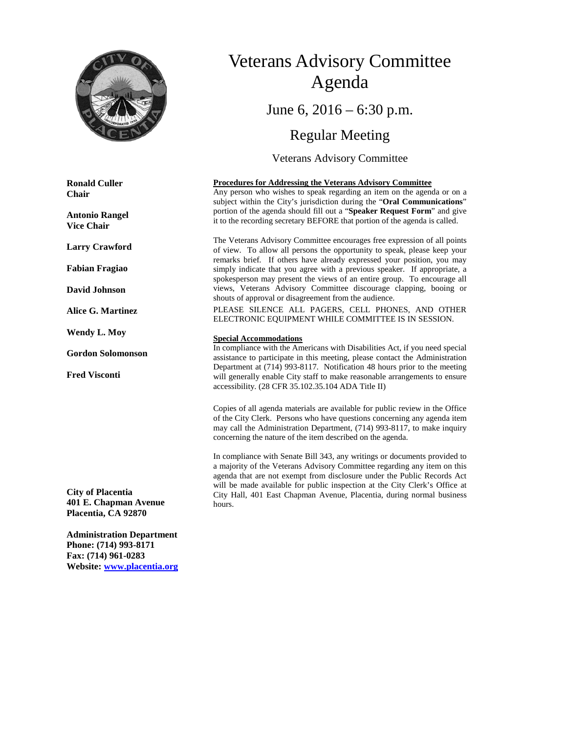

**Ronald Culler Chair**

**Antonio Rangel Vice Chair**

**Larry Crawford**

**Fabian Fragiao**

**David Johnson**

**Alice G. Martinez**

**Wendy L. Moy**

**Gordon Solomonson**

**Fred Visconti**

**City of Placentia 401 E. Chapman Avenue Placentia, CA 92870**

**Administration Department Phone: (714) 993-8171 Fax: (714) 961-0283 Website: [www.placentia.org](http://www.placentia.org/)**

# Veterans Advisory Committee Agenda June 6,  $2016 - 6:30$  p.m. Regular Meeting

Veterans Advisory Committee

#### **Procedures for Addressing the Veterans Advisory Committee**

Any person who wishes to speak regarding an item on the agenda or on a subject within the City's jurisdiction during the "**Oral Communications**" portion of the agenda should fill out a "**Speaker Request Form**" and give it to the recording secretary BEFORE that portion of the agenda is called.

The Veterans Advisory Committee encourages free expression of all points of view. To allow all persons the opportunity to speak, please keep your remarks brief. If others have already expressed your position, you may simply indicate that you agree with a previous speaker. If appropriate, a spokesperson may present the views of an entire group. To encourage all views, Veterans Advisory Committee discourage clapping, booing or shouts of approval or disagreement from the audience.

PLEASE SILENCE ALL PAGERS, CELL PHONES, AND OTHER ELECTRONIC EQUIPMENT WHILE COMMITTEE IS IN SESSION.

#### **Special Accommodations**

In compliance with the Americans with Disabilities Act, if you need special assistance to participate in this meeting, please contact the Administration Department at (714) 993-8117. Notification 48 hours prior to the meeting will generally enable City staff to make reasonable arrangements to ensure accessibility. (28 CFR 35.102.35.104 ADA Title II)

Copies of all agenda materials are available for public review in the Office of the City Clerk. Persons who have questions concerning any agenda item may call the Administration Department, (714) 993-8117, to make inquiry concerning the nature of the item described on the agenda.

In compliance with Senate Bill 343, any writings or documents provided to a majority of the Veterans Advisory Committee regarding any item on this agenda that are not exempt from disclosure under the Public Records Act will be made available for public inspection at the City Clerk's Office at City Hall, 401 East Chapman Avenue, Placentia, during normal business hours.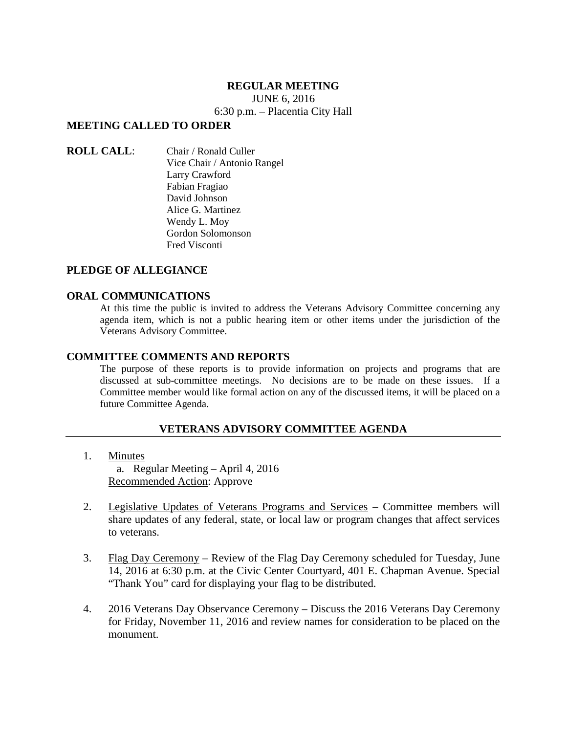#### **REGULAR MEETING**

JUNE 6, 2016

6:30 p.m. – Placentia City Hall

## **MEETING CALLED TO ORDER**

#### **ROLL CALL**: Chair / Ronald Culler Vice Chair / Antonio Rangel Larry Crawford Fabian Fragiao David Johnson Alice G. Martinez Wendy L. Moy Gordon Solomonson Fred Visconti

### **PLEDGE OF ALLEGIANCE**

#### **ORAL COMMUNICATIONS**

At this time the public is invited to address the Veterans Advisory Committee concerning any agenda item, which is not a public hearing item or other items under the jurisdiction of the Veterans Advisory Committee.

#### **COMMITTEE COMMENTS AND REPORTS**

The purpose of these reports is to provide information on projects and programs that are discussed at sub-committee meetings. No decisions are to be made on these issues. If a Committee member would like formal action on any of the discussed items, it will be placed on a future Committee Agenda.

#### **VETERANS ADVISORY COMMITTEE AGENDA**

- 1. Minutes a. Regular Meeting – April 4, 2016 Recommended Action: Approve
- 2. Legislative Updates of Veterans Programs and Services Committee members will share updates of any federal, state, or local law or program changes that affect services to veterans.
- 3. Flag Day Ceremony Review of the Flag Day Ceremony scheduled for Tuesday, June 14, 2016 at 6:30 p.m. at the Civic Center Courtyard, 401 E. Chapman Avenue. Special "Thank You" card for displaying your flag to be distributed.
- 4. 2016 Veterans Day Observance Ceremony Discuss the 2016 Veterans Day Ceremony for Friday, November 11, 2016 and review names for consideration to be placed on the monument.